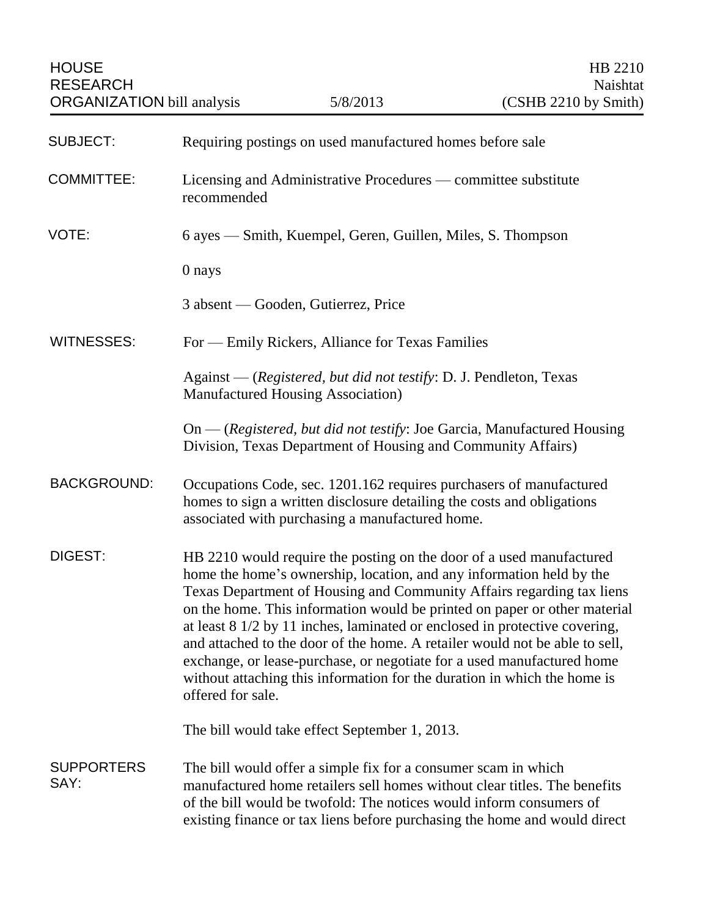| <b>SUBJECT:</b>           | Requiring postings on used manufactured homes before sale                                                                                                                                                                                                                                                                                                                                                                                                                                                                                                                                                                                  |
|---------------------------|--------------------------------------------------------------------------------------------------------------------------------------------------------------------------------------------------------------------------------------------------------------------------------------------------------------------------------------------------------------------------------------------------------------------------------------------------------------------------------------------------------------------------------------------------------------------------------------------------------------------------------------------|
| <b>COMMITTEE:</b>         | Licensing and Administrative Procedures — committee substitute<br>recommended                                                                                                                                                                                                                                                                                                                                                                                                                                                                                                                                                              |
| VOTE:                     | 6 ayes — Smith, Kuempel, Geren, Guillen, Miles, S. Thompson                                                                                                                                                                                                                                                                                                                                                                                                                                                                                                                                                                                |
|                           | 0 nays                                                                                                                                                                                                                                                                                                                                                                                                                                                                                                                                                                                                                                     |
|                           | 3 absent — Gooden, Gutierrez, Price                                                                                                                                                                                                                                                                                                                                                                                                                                                                                                                                                                                                        |
| <b>WITNESSES:</b>         | For — Emily Rickers, Alliance for Texas Families                                                                                                                                                                                                                                                                                                                                                                                                                                                                                                                                                                                           |
|                           | Against — (Registered, but did not testify: D. J. Pendleton, Texas<br><b>Manufactured Housing Association)</b>                                                                                                                                                                                                                                                                                                                                                                                                                                                                                                                             |
|                           | On — (Registered, but did not testify: Joe Garcia, Manufactured Housing<br>Division, Texas Department of Housing and Community Affairs)                                                                                                                                                                                                                                                                                                                                                                                                                                                                                                    |
| <b>BACKGROUND:</b>        | Occupations Code, sec. 1201.162 requires purchasers of manufactured<br>homes to sign a written disclosure detailing the costs and obligations<br>associated with purchasing a manufactured home.                                                                                                                                                                                                                                                                                                                                                                                                                                           |
| DIGEST:                   | HB 2210 would require the posting on the door of a used manufactured<br>home the home's ownership, location, and any information held by the<br>Texas Department of Housing and Community Affairs regarding tax liens<br>on the home. This information would be printed on paper or other material<br>at least 8 1/2 by 11 inches, laminated or enclosed in protective covering,<br>and attached to the door of the home. A retailer would not be able to sell,<br>exchange, or lease-purchase, or negotiate for a used manufactured home<br>without attaching this information for the duration in which the home is<br>offered for sale. |
|                           | The bill would take effect September 1, 2013.                                                                                                                                                                                                                                                                                                                                                                                                                                                                                                                                                                                              |
| <b>SUPPORTERS</b><br>SAY: | The bill would offer a simple fix for a consumer scam in which<br>manufactured home retailers sell homes without clear titles. The benefits<br>of the bill would be twofold: The notices would inform consumers of<br>existing finance or tax liens before purchasing the home and would direct                                                                                                                                                                                                                                                                                                                                            |